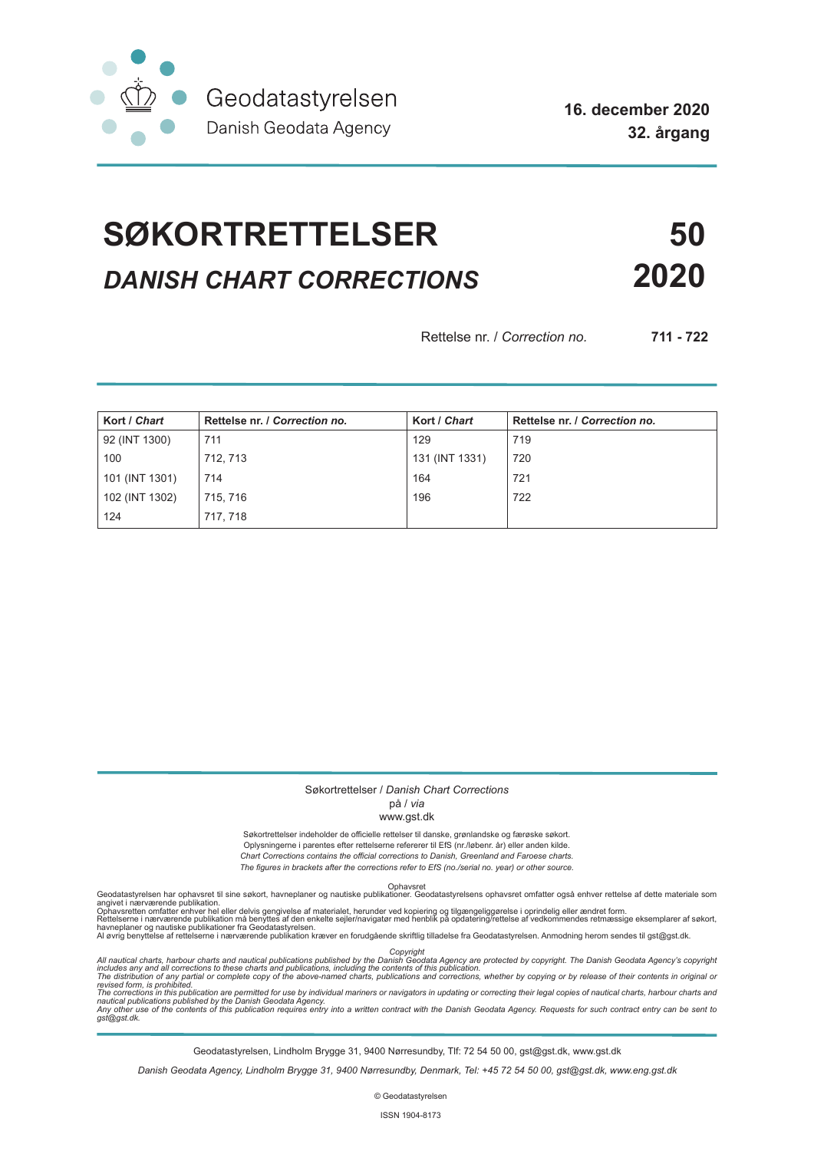

**16. december 2020 32. årgang**

# **SØKORTRETTELSER 50** *DANISH CHART CORRECTIONS* **2020**

Rettelse nr. / *Correction no.* **711 - 722**

| Kort / Chart   | Rettelse nr. / Correction no. | Kort / Chart   | Rettelse nr. / Correction no. |
|----------------|-------------------------------|----------------|-------------------------------|
| 92 (INT 1300)  | 711                           | 129            | 719                           |
| 100            | 712, 713                      | 131 (INT 1331) | 720                           |
| 101 (INT 1301) | 714                           | 164            | 721                           |
| 102 (INT 1302) | 715, 716                      | 196            | 722                           |
| 124            | 717, 718                      |                |                               |

#### Søkortrettelser / *Danish Chart Corrections*

#### på / *via*

#### www.gst.dk

Søkortrettelser indeholder de officielle rettelser til danske, grønlandske og færøske søkort. Oplysningerne i parentes efter rettelserne refererer til EfS (nr./løbenr. år) eller anden kilde. *Chart Corrections contains the official corrections to Danish, Greenland and Faroese charts. The figures in brackets after the corrections refer to EfS (no./serial no. year) or other source.*

Ophavsret Geodatastyrelsen har ophavsret til sine søkort, havneplaner og nautiske publikationer. Geodatastyrelsens ophavsret omfatter også enhver rettelse af dette materiale som

angivet i nærværende publikation.<br>Ophavsretten omfatter enhver hel eller delvis gengivelse af materialet, herunder ved kopiering og tilgængeliggørelse i oprindelig eller ændret form.<br>Rettelserne i nærværende publikation må

Copyright<br>includes any and all corrections to these charts and publications published by the Danish Agency are protected by copyright. The Danish Geodata Agency's copyright<br>includes any and all corrections to these charts

Geodatastyrelsen, Lindholm Brygge 31, 9400 Nørresundby, Tlf: 72 54 50 00, gst@gst.dk, www.gst.dk

*Danish Geodata Agency, Lindholm Brygge 31, 9400 Nørresundby, Denmark, Tel: +45 72 54 50 00, gst@gst.dk, www.eng.gst.dk*

© Geodatastyrelsen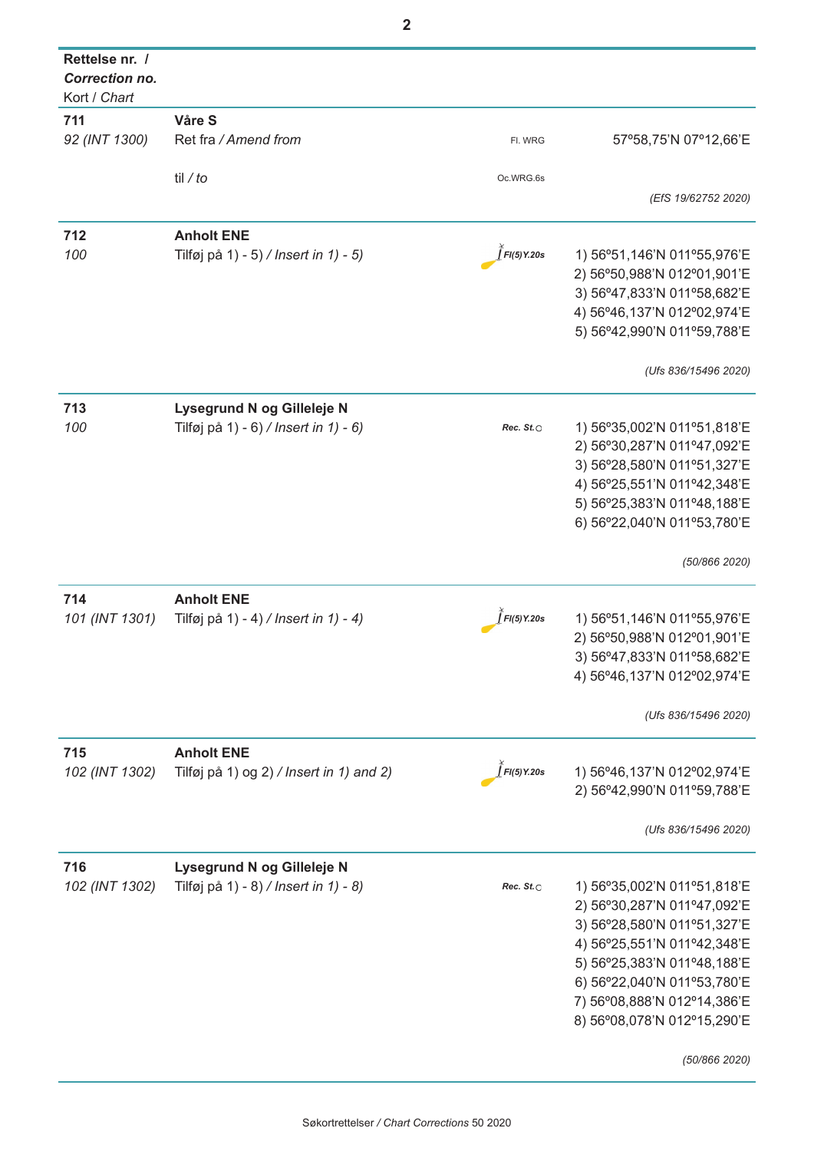| Rettelse nr. /<br><b>Correction no.</b> |                                          |                  |                               |
|-----------------------------------------|------------------------------------------|------------------|-------------------------------|
| Kort / Chart                            |                                          |                  |                               |
| 711                                     | Våre S                                   |                  |                               |
| 92 (INT 1300)                           | Ret fra / Amend from                     | FI. WRG          | 57°58,75'N 07°12,66'E         |
|                                         | til / to                                 | Oc.WRG.6s        |                               |
|                                         |                                          |                  | (EfS 19/62752 2020)           |
| 712                                     | <b>Anholt ENE</b>                        |                  |                               |
| 100                                     | Tilføj på 1) - 5) / Insert in 1) - 5)    | FI(5) Y.20s      | 1) 56°51,146'N 011°55,976'E   |
|                                         |                                          |                  | 2) 56°50,988'N 012°01,901'E   |
|                                         |                                          |                  | 3) 56°47,833'N 011°58,682'E   |
|                                         |                                          |                  |                               |
|                                         |                                          |                  | 4) 56°46, 137'N 012°02, 974'E |
|                                         |                                          |                  | 5) 56°42,990'N 011°59,788'E   |
|                                         |                                          |                  | (Ufs 836/15496 2020)          |
| 713                                     | Lysegrund N og Gilleleje N               |                  |                               |
| 100                                     | Tilføj på 1) - 6) / Insert in 1) - 6)    | Rec. $St. \odot$ | 1) 56°35,002'N 011°51,818'E   |
|                                         |                                          |                  | 2) 56°30,287'N 011°47,092'E   |
|                                         |                                          |                  | 3) 56°28,580'N 011°51,327'E   |
|                                         |                                          |                  | 4) 56°25,551'N 011°42,348'E   |
|                                         |                                          |                  |                               |
|                                         |                                          |                  | 5) 56°25,383'N 011°48,188'E   |
|                                         |                                          |                  | 6) 56°22,040'N 011°53,780'E   |
|                                         |                                          |                  | (50/866 2020)                 |
| 714                                     | <b>Anholt ENE</b>                        |                  |                               |
| 101 (INT 1301)                          | Tilføj på 1) - 4) / Insert in 1) - 4)    | FI(5) Y.20s      | 1) 56°51,146'N 011°55,976'E   |
|                                         |                                          |                  | 2) 56°50,988'N 012°01,901'E   |
|                                         |                                          |                  | 3) 56°47,833'N 011°58,682'E   |
|                                         |                                          |                  | 4) 56°46, 137'N 012°02, 974'E |
|                                         |                                          |                  |                               |
|                                         |                                          |                  | (Ufs 836/15496 2020)          |
| 715                                     | <b>Anholt ENE</b>                        |                  |                               |
| 102 (INT 1302)                          | Tilføj på 1) og 2) / Insert in 1) and 2) | FI(5) Y.20s      | 1) 56°46,137'N 012°02,974'E   |
|                                         |                                          |                  | 2) 56°42,990'N 011°59,788'E   |
|                                         |                                          |                  | (Ufs 836/15496 2020)          |
| 716                                     | Lysegrund N og Gilleleje N               |                  |                               |
| 102 (INT 1302)                          | Tilføj på 1) - 8) / Insert in 1) - 8)    | Rec. $St. \circ$ | 1) 56°35,002'N 011°51,818'E   |
|                                         |                                          |                  | 2) 56°30,287'N 011°47,092'E   |
|                                         |                                          |                  |                               |
|                                         |                                          |                  | 3) 56°28,580'N 011°51,327'E   |
|                                         |                                          |                  | 4) 56°25,551'N 011°42,348'E   |
|                                         |                                          |                  | 5) 56°25,383'N 011°48,188'E   |
|                                         |                                          |                  | 6) 56°22,040'N 011°53,780'E   |
|                                         |                                          |                  | 7) 56°08,888'N 012°14,386'E   |
|                                         |                                          |                  | 8) 56°08,078'N 012°15,290'E   |
|                                         |                                          |                  | (50/866 2020)                 |
|                                         |                                          |                  |                               |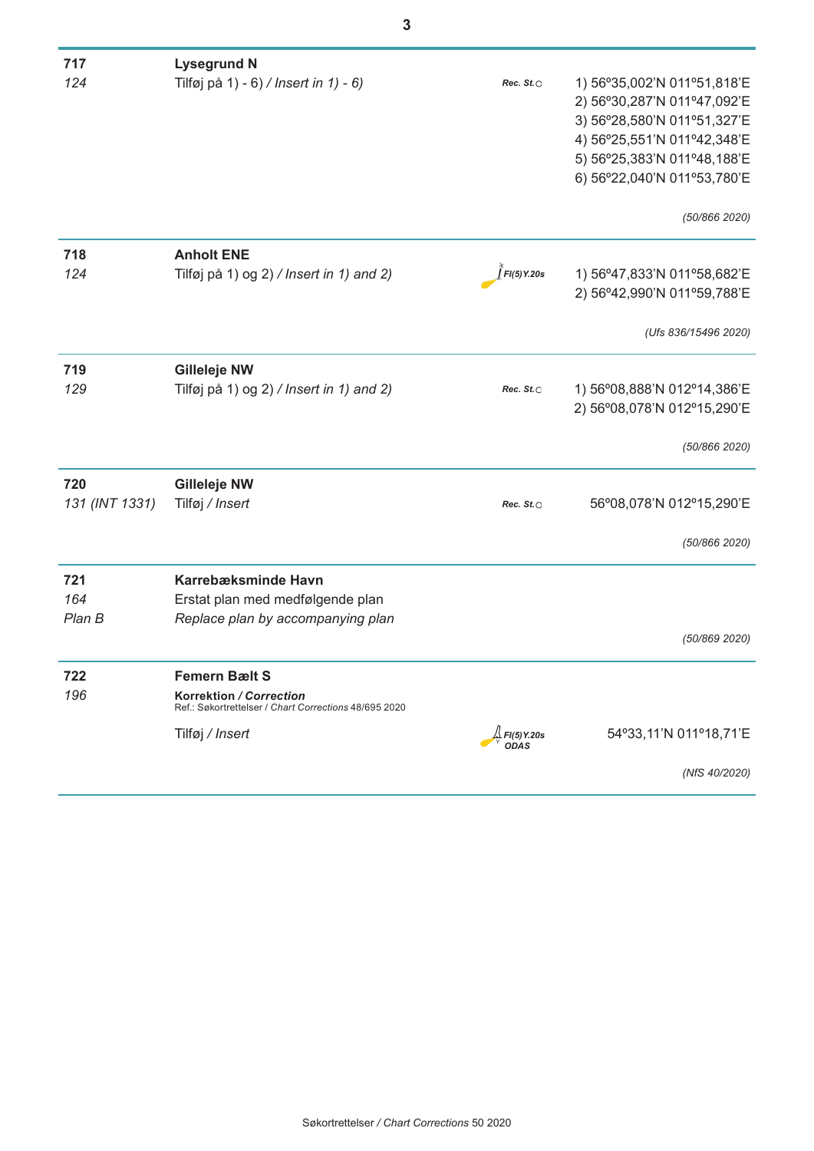| 717            | <b>Lysegrund N</b>                                                               |                    |                             |
|----------------|----------------------------------------------------------------------------------|--------------------|-----------------------------|
| 124            | Tilføj på 1) - 6) / Insert in 1) - 6)                                            | Rec. $St. \odot$   | 1) 56°35,002'N 011°51,818'E |
|                |                                                                                  |                    | 2) 56°30,287'N 011°47,092'E |
|                |                                                                                  |                    | 3) 56°28,580'N 011°51,327'E |
|                |                                                                                  |                    | 4) 56°25,551'N 011°42,348'E |
|                |                                                                                  |                    | 5) 56°25,383'N 011°48,188'E |
|                |                                                                                  |                    | 6) 56°22,040'N 011°53,780'E |
|                |                                                                                  |                    | (50/866 2020)               |
| 718            | <b>Anholt ENE</b>                                                                |                    |                             |
| 124            | Tilføj på 1) og 2) / Insert in 1) and 2)                                         | FI(5) Y.20s        | 1) 56°47,833'N 011°58,682'E |
|                |                                                                                  |                    | 2) 56°42,990'N 011°59,788'E |
|                |                                                                                  |                    | (Ufs 836/15496 2020)        |
| 719            | <b>Gilleleje NW</b>                                                              |                    |                             |
| 129            | Tilføj på 1) og 2) / Insert in 1) and 2)                                         | Rec. $St. \odot$   | 1) 56°08,888'N 012°14,386'E |
|                |                                                                                  |                    | 2) 56°08,078'N 012°15,290'E |
|                |                                                                                  |                    | (50/866 2020)               |
| 720            | <b>Gilleleje NW</b>                                                              |                    |                             |
| 131 (INT 1331) | Tilføj / Insert                                                                  | Rec. $St. \circ$   | 56°08,078'N 012°15,290'E    |
|                |                                                                                  |                    |                             |
|                |                                                                                  |                    | (50/866 2020)               |
| 721            | Karrebæksminde Havn                                                              |                    |                             |
| 164            | Erstat plan med medfølgende plan                                                 |                    |                             |
| Plan B         | Replace plan by accompanying plan                                                |                    |                             |
|                |                                                                                  |                    | (50/869 2020)               |
| 722            | <b>Femern Bælt S</b>                                                             |                    |                             |
| 196            | Korrektion / Correction<br>Ref.: Søkortrettelser / Chart Corrections 48/695 2020 |                    |                             |
|                | Tilføj / Insert                                                                  | .↓<br>↓FI(5) Y.20s | 54°33,11'N 011°18,71'E      |
|                |                                                                                  | <b>ODAS</b>        |                             |
|                |                                                                                  |                    | (NfS 40/2020)               |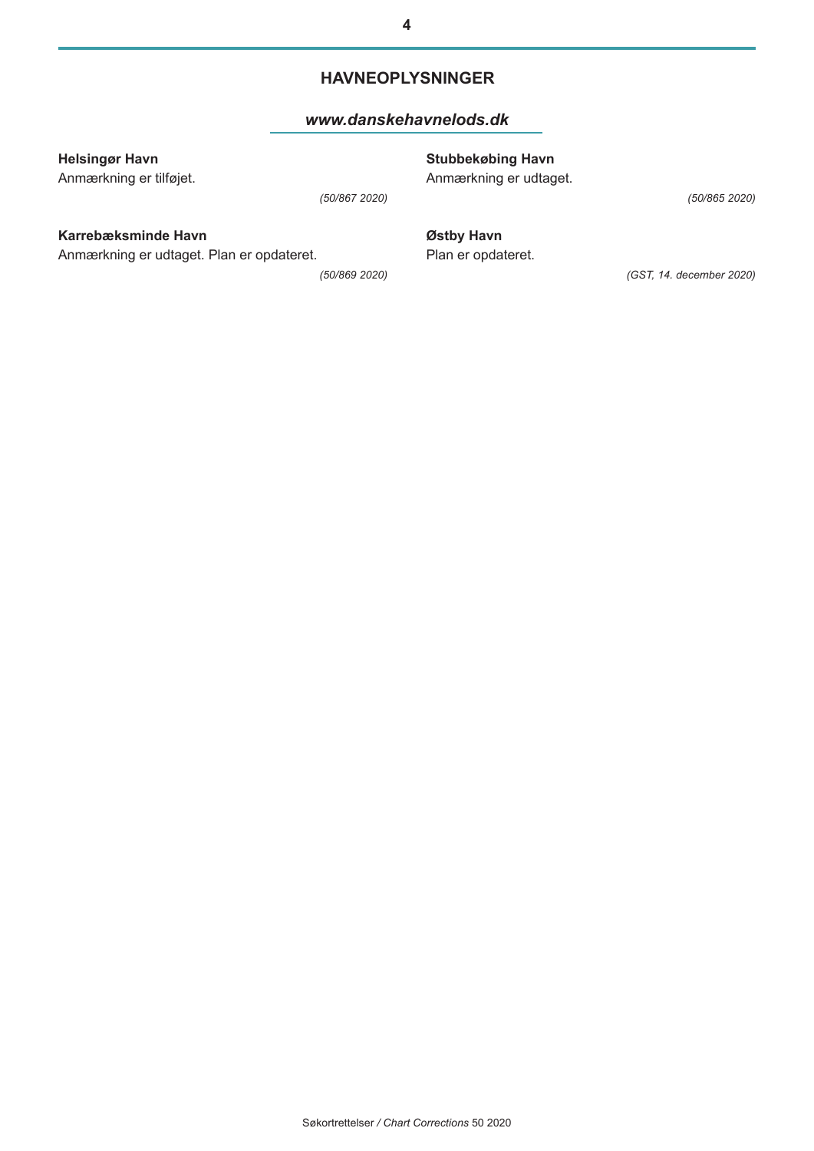#### **HAVNEOPLYSNINGER**

#### *www.danskehavnelods.dk*

#### **Helsingør Havn**

Anmærkning er tilføjet.

*(50/867 2020)*

## **Karrebæksminde Havn**

Anmærkning er udtaget. Plan er opdateret.

*(50/869 2020)*

**Stubbekøbing Havn**

Anmærkning er udtaget.

*(50/865 2020)*

**Østby Havn** Plan er opdateret.

*(GST, 14. december 2020)*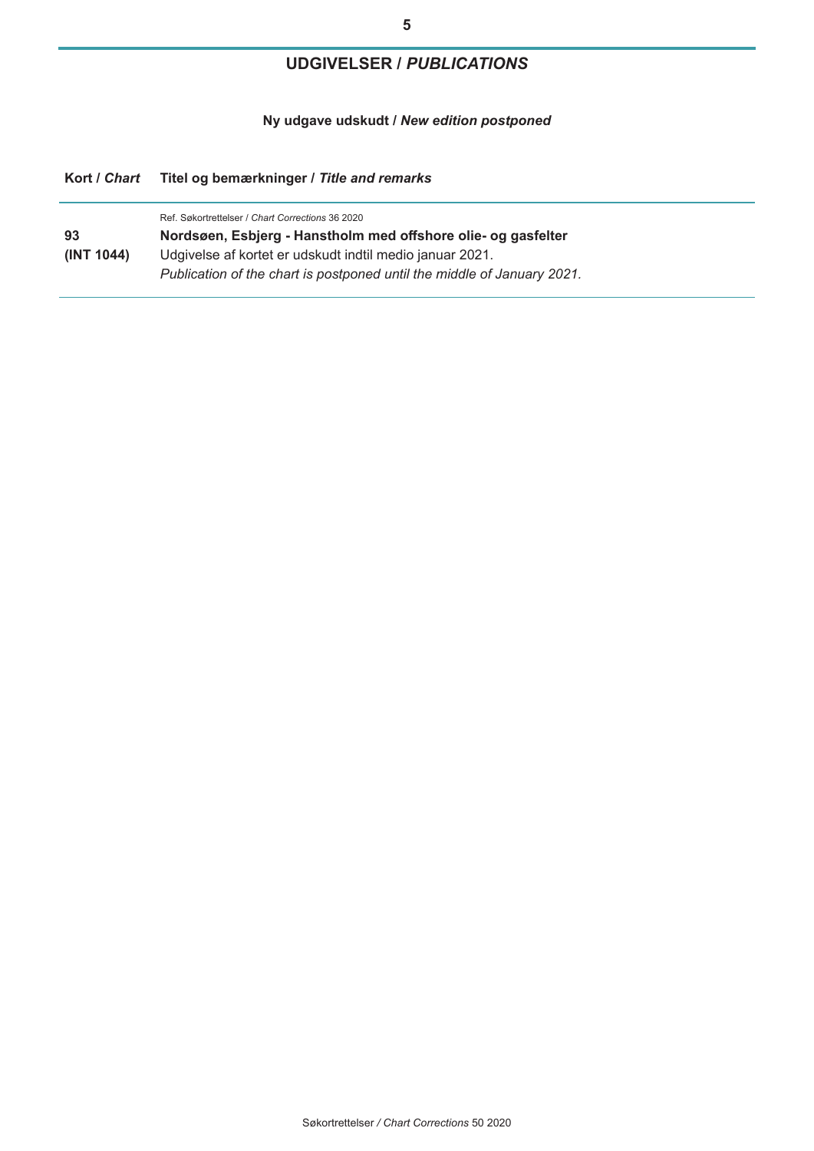# **5**

# **UDGIVELSER /** *PUBLICATIONS*

**Ny udgave udskudt /** *New edition postponed*

### **Kort /** *Chart* **Titel og bemærkninger /** *Title and remarks*

|            | Ref. Søkortrettelser / Chart Corrections 36 2020                        |  |
|------------|-------------------------------------------------------------------------|--|
| 93         | Nordsøen, Esbjerg - Hanstholm med offshore olie- og gasfelter           |  |
| (INT 1044) | Udgivelse af kortet er udskudt indtil medio januar 2021.                |  |
|            | Publication of the chart is postponed until the middle of January 2021. |  |